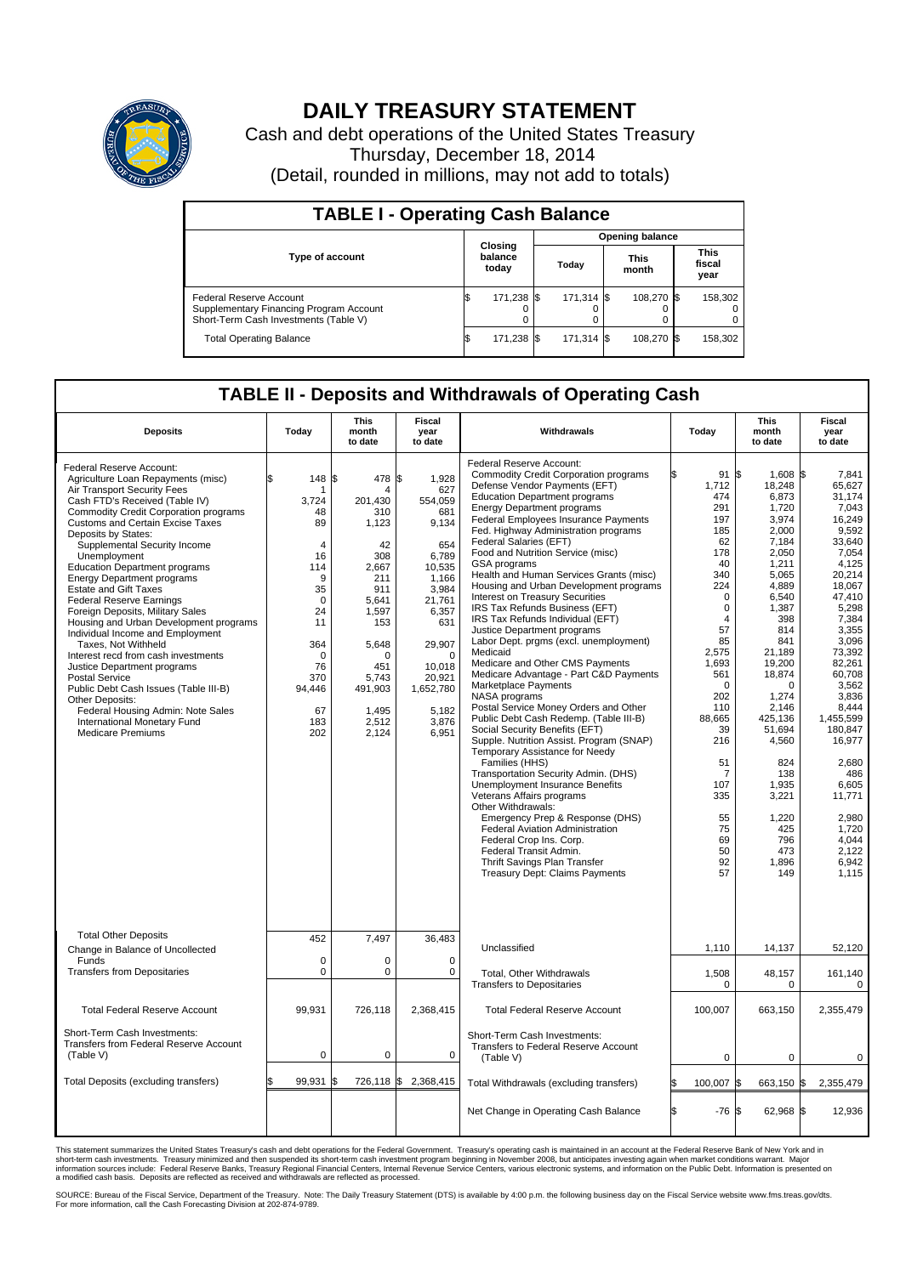

## **DAILY TREASURY STATEMENT**

Cash and debt operations of the United States Treasury Thursday, December 18, 2014 (Detail, rounded in millions, may not add to totals)

| <b>TABLE I - Operating Cash Balance</b>                                                                     |                        |                             |  |                               |  |                               |  |         |  |
|-------------------------------------------------------------------------------------------------------------|------------------------|-----------------------------|--|-------------------------------|--|-------------------------------|--|---------|--|
|                                                                                                             | <b>Opening balance</b> |                             |  |                               |  |                               |  |         |  |
| Type of account                                                                                             |                        | Closing<br>balance<br>today |  | <b>This</b><br>Today<br>month |  | <b>This</b><br>fiscal<br>year |  |         |  |
| Federal Reserve Account<br>Supplementary Financing Program Account<br>Short-Term Cash Investments (Table V) |                        | 171,238 \$                  |  | 171.314 \$                    |  | 108.270 \$                    |  | 158,302 |  |
| <b>Total Operating Balance</b>                                                                              | ß.                     | 171,238 \$                  |  | 171,314 \$                    |  | 108,270 \$                    |  | 158,302 |  |

## **TABLE II - Deposits and Withdrawals of Operating Cash**

| <b>Deposits</b>                                                                                                                                                                                                                                                                                                                                                                                                                                                                                                                                                                                                                                                                                                                                                                                                                         | Today                                                                                                                                                                      | <b>This</b><br>month<br>to date                                                                                                                                             | <b>Fiscal</b><br>year<br>to date                                                                                                                                                                         | Withdrawals                                                                                                                                                                                                                                                                                                                                                                                                                                                                                                                                                                                                                                                                                                                                                                                                                                                                                                                                                                                                                                                                                                                                                                                                                                                                                                                         | Today                                                                                                                                                                                                                                                                     | <b>This</b><br>month<br>to date                                                                                                                                                                                                                                                                                    | <b>Fiscal</b><br>year<br>to date                                                                                                                                                                                                                                                                                                        |
|-----------------------------------------------------------------------------------------------------------------------------------------------------------------------------------------------------------------------------------------------------------------------------------------------------------------------------------------------------------------------------------------------------------------------------------------------------------------------------------------------------------------------------------------------------------------------------------------------------------------------------------------------------------------------------------------------------------------------------------------------------------------------------------------------------------------------------------------|----------------------------------------------------------------------------------------------------------------------------------------------------------------------------|-----------------------------------------------------------------------------------------------------------------------------------------------------------------------------|----------------------------------------------------------------------------------------------------------------------------------------------------------------------------------------------------------|-------------------------------------------------------------------------------------------------------------------------------------------------------------------------------------------------------------------------------------------------------------------------------------------------------------------------------------------------------------------------------------------------------------------------------------------------------------------------------------------------------------------------------------------------------------------------------------------------------------------------------------------------------------------------------------------------------------------------------------------------------------------------------------------------------------------------------------------------------------------------------------------------------------------------------------------------------------------------------------------------------------------------------------------------------------------------------------------------------------------------------------------------------------------------------------------------------------------------------------------------------------------------------------------------------------------------------------|---------------------------------------------------------------------------------------------------------------------------------------------------------------------------------------------------------------------------------------------------------------------------|--------------------------------------------------------------------------------------------------------------------------------------------------------------------------------------------------------------------------------------------------------------------------------------------------------------------|-----------------------------------------------------------------------------------------------------------------------------------------------------------------------------------------------------------------------------------------------------------------------------------------------------------------------------------------|
| Federal Reserve Account:<br>Agriculture Loan Repayments (misc)<br>Air Transport Security Fees<br>Cash FTD's Received (Table IV)<br>Commodity Credit Corporation programs<br><b>Customs and Certain Excise Taxes</b><br>Deposits by States:<br>Supplemental Security Income<br>Unemployment<br><b>Education Department programs</b><br><b>Energy Department programs</b><br><b>Estate and Gift Taxes</b><br><b>Federal Reserve Earnings</b><br>Foreign Deposits, Military Sales<br>Housing and Urban Development programs<br>Individual Income and Employment<br>Taxes, Not Withheld<br>Interest recd from cash investments<br>Justice Department programs<br>Postal Service<br>Public Debt Cash Issues (Table III-B)<br>Other Deposits:<br>Federal Housing Admin: Note Sales<br>International Monetary Fund<br><b>Medicare Premiums</b> | 148<br>\$.<br>1<br>3,724<br>48<br>89<br>$\overline{4}$<br>16<br>114<br>9<br>35<br>$\mathbf 0$<br>24<br>11<br>364<br>$\mathbf 0$<br>76<br>370<br>94,446<br>67<br>183<br>202 | 1\$<br>478<br>4<br>201.430<br>310<br>1,123<br>42<br>308<br>2,667<br>211<br>911<br>5,641<br>1,597<br>153<br>5,648<br>O<br>451<br>5.743<br>491,903<br>1,495<br>2,512<br>2,124 | \$<br>1,928<br>627<br>554,059<br>681<br>9,134<br>654<br>6,789<br>10,535<br>1,166<br>3,984<br>21,761<br>6,357<br>631<br>29,907<br>$\mathbf 0$<br>10.018<br>20,921<br>1,652,780<br>5,182<br>3,876<br>6,951 | Federal Reserve Account:<br><b>Commodity Credit Corporation programs</b><br>Defense Vendor Payments (EFT)<br><b>Education Department programs</b><br><b>Energy Department programs</b><br><b>Federal Employees Insurance Payments</b><br>Fed. Highway Administration programs<br>Federal Salaries (EFT)<br>Food and Nutrition Service (misc)<br><b>GSA</b> programs<br>Health and Human Services Grants (misc)<br>Housing and Urban Development programs<br>Interest on Treasury Securities<br>IRS Tax Refunds Business (EFT)<br>IRS Tax Refunds Individual (EFT)<br>Justice Department programs<br>Labor Dept. prgms (excl. unemployment)<br>Medicaid<br>Medicare and Other CMS Payments<br>Medicare Advantage - Part C&D Payments<br>Marketplace Payments<br>NASA programs<br>Postal Service Money Orders and Other<br>Public Debt Cash Redemp. (Table III-B)<br>Social Security Benefits (EFT)<br>Supple. Nutrition Assist. Program (SNAP)<br>Temporary Assistance for Needy<br>Families (HHS)<br>Transportation Security Admin. (DHS)<br>Unemployment Insurance Benefits<br>Veterans Affairs programs<br>Other Withdrawals:<br>Emergency Prep & Response (DHS)<br><b>Federal Aviation Administration</b><br>Federal Crop Ins. Corp.<br>Federal Transit Admin.<br>Thrift Savings Plan Transfer<br>Treasury Dept: Claims Payments | 91S<br>1,712<br>474<br>291<br>197<br>185<br>62<br>178<br>40<br>340<br>224<br>$\Omega$<br>$\Omega$<br>$\overline{4}$<br>57<br>85<br>2,575<br>1,693<br>561<br>$\mathbf 0$<br>202<br>110<br>88,665<br>39<br>216<br>51<br>7<br>107<br>335<br>55<br>75<br>69<br>50<br>92<br>57 | 1.608 \$<br>18,248<br>6,873<br>1,720<br>3,974<br>2.000<br>7,184<br>2,050<br>1,211<br>5,065<br>4,889<br>6,540<br>1,387<br>398<br>814<br>841<br>21,189<br>19,200<br>18,874<br>$\Omega$<br>1,274<br>2,146<br>425,136<br>51.694<br>4,560<br>824<br>138<br>1,935<br>3,221<br>1,220<br>425<br>796<br>473<br>1,896<br>149 | 7.841<br>65,627<br>31,174<br>7,043<br>16,249<br>9.592<br>33,640<br>7,054<br>4.125<br>20,214<br>18,067<br>47,410<br>5.298<br>7,384<br>3,355<br>3,096<br>73,392<br>82,261<br>60,708<br>3,562<br>3,836<br>8,444<br>1,455,599<br>180.847<br>16,977<br>2,680<br>486<br>6,605<br>11,771<br>2,980<br>1,720<br>4.044<br>2,122<br>6,942<br>1,115 |
| <b>Total Other Deposits</b><br>Change in Balance of Uncollected                                                                                                                                                                                                                                                                                                                                                                                                                                                                                                                                                                                                                                                                                                                                                                         | 452                                                                                                                                                                        | 7,497                                                                                                                                                                       | 36,483                                                                                                                                                                                                   | Unclassified                                                                                                                                                                                                                                                                                                                                                                                                                                                                                                                                                                                                                                                                                                                                                                                                                                                                                                                                                                                                                                                                                                                                                                                                                                                                                                                        | 1,110                                                                                                                                                                                                                                                                     | 14,137                                                                                                                                                                                                                                                                                                             | 52,120                                                                                                                                                                                                                                                                                                                                  |
| Funds<br><b>Transfers from Depositaries</b>                                                                                                                                                                                                                                                                                                                                                                                                                                                                                                                                                                                                                                                                                                                                                                                             | $\mathbf 0$<br>$\mathbf 0$                                                                                                                                                 | $\Omega$<br>0                                                                                                                                                               | $\Omega$<br>$\mathbf 0$                                                                                                                                                                                  | Total, Other Withdrawals<br><b>Transfers to Depositaries</b>                                                                                                                                                                                                                                                                                                                                                                                                                                                                                                                                                                                                                                                                                                                                                                                                                                                                                                                                                                                                                                                                                                                                                                                                                                                                        | 1,508<br>0                                                                                                                                                                                                                                                                | 48,157<br>0                                                                                                                                                                                                                                                                                                        | 161,140<br>$\mathbf 0$                                                                                                                                                                                                                                                                                                                  |
| <b>Total Federal Reserve Account</b>                                                                                                                                                                                                                                                                                                                                                                                                                                                                                                                                                                                                                                                                                                                                                                                                    | 99,931                                                                                                                                                                     | 726,118                                                                                                                                                                     | 2,368,415                                                                                                                                                                                                | <b>Total Federal Reserve Account</b>                                                                                                                                                                                                                                                                                                                                                                                                                                                                                                                                                                                                                                                                                                                                                                                                                                                                                                                                                                                                                                                                                                                                                                                                                                                                                                | 100,007                                                                                                                                                                                                                                                                   | 663,150                                                                                                                                                                                                                                                                                                            | 2,355,479                                                                                                                                                                                                                                                                                                                               |
| Short-Term Cash Investments:<br>Transfers from Federal Reserve Account<br>(Table V)                                                                                                                                                                                                                                                                                                                                                                                                                                                                                                                                                                                                                                                                                                                                                     | 0                                                                                                                                                                          | 0                                                                                                                                                                           | 0                                                                                                                                                                                                        | Short-Term Cash Investments:<br>Transfers to Federal Reserve Account<br>(Table V)                                                                                                                                                                                                                                                                                                                                                                                                                                                                                                                                                                                                                                                                                                                                                                                                                                                                                                                                                                                                                                                                                                                                                                                                                                                   | $\mathbf 0$                                                                                                                                                                                                                                                               | $\Omega$                                                                                                                                                                                                                                                                                                           | $\Omega$                                                                                                                                                                                                                                                                                                                                |
| Total Deposits (excluding transfers)                                                                                                                                                                                                                                                                                                                                                                                                                                                                                                                                                                                                                                                                                                                                                                                                    | 99,931                                                                                                                                                                     | \$                                                                                                                                                                          | 726,118 \$ 2,368,415                                                                                                                                                                                     | Total Withdrawals (excluding transfers)                                                                                                                                                                                                                                                                                                                                                                                                                                                                                                                                                                                                                                                                                                                                                                                                                                                                                                                                                                                                                                                                                                                                                                                                                                                                                             | 100,007 \$<br>l\$                                                                                                                                                                                                                                                         | 663,150 \$                                                                                                                                                                                                                                                                                                         | 2,355,479                                                                                                                                                                                                                                                                                                                               |
|                                                                                                                                                                                                                                                                                                                                                                                                                                                                                                                                                                                                                                                                                                                                                                                                                                         |                                                                                                                                                                            |                                                                                                                                                                             |                                                                                                                                                                                                          | Net Change in Operating Cash Balance                                                                                                                                                                                                                                                                                                                                                                                                                                                                                                                                                                                                                                                                                                                                                                                                                                                                                                                                                                                                                                                                                                                                                                                                                                                                                                | Ŝ.<br>$-76S$                                                                                                                                                                                                                                                              | $62,968$ \$                                                                                                                                                                                                                                                                                                        | 12.936                                                                                                                                                                                                                                                                                                                                  |

This statement summarizes the United States Treasury's cash and debt operations for the Federal Government. Treasury's operating cash is maintained in an account at the Federal Reserve Bank of New York and in<br>short-term ca

SOURCE: Bureau of the Fiscal Service, Department of the Treasury. Note: The Daily Treasury Statement (DTS) is available by 4:00 p.m. the following business day on the Fiscal Service website www.fms.treas.gov/dts.<br>For more